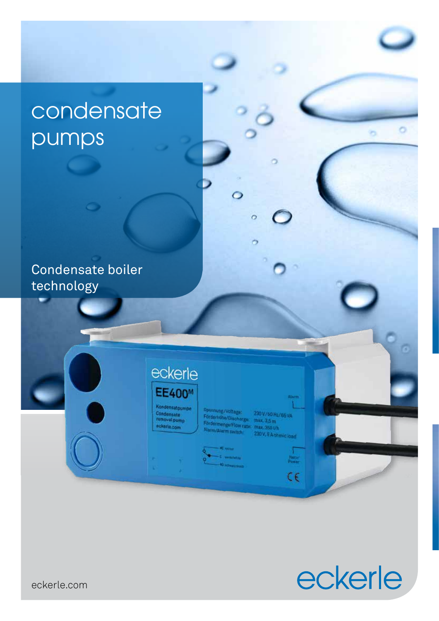# condensate pumps

Condensate boiler technology

## eckerle **EE400M**

Kondensatpumpe Condensate<br>removal pum ckerle.com

inung/Voltage 230 V / 50 Hz / 85 VA<br>max, 3,5 m<br>max, 350 Vh Förderhöhe/Discharge: 230 V, & A ohmic load

 $\circ$ 

 $\circ$ 

×,

 $\begin{array}{c} \n\sqrt{\frac{1}{2} \arctan \theta} \\ \n\frac{1}{2} \arctan \theta \\ \n\end{array}$ 

 $\epsilon$ 



ō

eckerle.com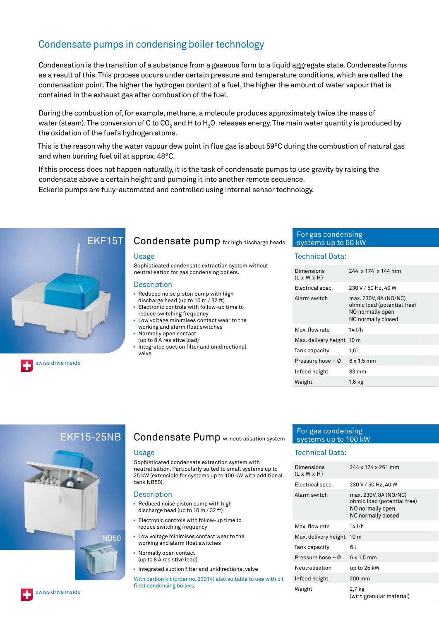## Condensate pumps in condensing boiler technology

Condensation is the transition of a substance from a gaseous form to a liquid aggregate state. Condensate forms as a result of this. This process occurs under certain pressure and temperature conditions, which are called the condensation point. The higher the hydrogen content of a fuel, the higher the amount of water vapour that is contained in the exhaust gas after combustion of the fuel.

During the combustion of, for example, methane, a molecule produces approximately twice the mass of water (steam). The conversion of C to CO<sub>2</sub> and H to H<sub>2</sub>O releases energy. The main water quantity is produced by the oxidation of the fuel's hydrogen atoms.

This is the reason why the water vapour dew point in flue gas is about 59°C during the combustion of natural gas and when burning fuel oil at approx. 48°C.

If this process does not happen naturally, it is the task of condensate pumps to use gravity by raising the condensate above a certain height and pumping it into another remote sequence.

Eckerle pumps are fully-automated and controlled using internal sensor technology.



## Condensate pump for high discharge heads

#### Usage

Sophisticated condensate extraction system without neutralisation for gas condensing boilers.

#### **Description**

- Reduced noise piston pump with high discharge head (up to 10 m / 32 ft)
- Electronic controls with follow-up time to
- reduce switching frequency Low voltage minimises contact wear to the working and alarm float switches
- Normally open contact
- (up to 8 A resistive load)
- Integrated suction filter and unidirectional valve

## For gas condensing systems up to 50 kW

### Technical Data:

| Dimensions<br>$(L \times W \times H)$ | 244 x 174 x 144 mm                                                                             |
|---------------------------------------|------------------------------------------------------------------------------------------------|
| Electrical spec.                      | 230 V / 50 Hz, 40 W                                                                            |
| Alarm switch                          | max. 230V, 8A (NO/NC)<br>ohmic load (potential free)<br>NO normally open<br>NC normally closed |
| Max. flow rate                        | 14 l/h                                                                                         |
| Max. delivery height 10 m             |                                                                                                |
| Tank capacity                         | 1,6 l                                                                                          |
| Pressure hose $-$ Ø                   | $6 \times 1.5$ mm                                                                              |
| Infeed height                         | 83 mm                                                                                          |
| Weight                                | 1,6 kg                                                                                         |
|                                       |                                                                                                |

## $EKF15-25NB$



## Condensate Pump w. neutralisation system

#### Usage

Sophisticated condensate extraction system with neutralisation. Particularly suited to small systems up to 25 kW (extensible for systems up to 100 kW with additional tank NB50).

#### **Description**

- Reduced noise piston pump with high discharge head (up to 10 m / 32 ft)
- Electronic controls with follow-up time to reduce switching frequency
- Low voltage minimises contact wear to the working and alarm float switches
- Normally open contact (up to 8 A resistive load)
- Integrated suction filter and unidirectional valve

With carbon kit (order no. 23014) also suitable to use with oil fired condensing boilers.

## For gas condensing systems up to 100 kW

## Technical Data:

| Dimensions<br>(L x W x H) | 244 x 174 x 261 mm                                                                             |
|---------------------------|------------------------------------------------------------------------------------------------|
| Electrical spec.          | 230 V / 50 Hz, 40 W                                                                            |
| Alarm switch              | max. 230V, 8A (NO/NC)<br>ohmic load (potential free)<br>NO normally open<br>NC normally closed |
| Max. flow rate            | 14 l/h                                                                                         |
| Max. delivery height      | 10 m                                                                                           |
| Tank capacity             | 6 l                                                                                            |
| Pressure hose – Ø         | $6 \times 1.5$ mm                                                                              |
| Neutralisation            | up to 25 kW                                                                                    |
| Infeed height             | 200 mm                                                                                         |
| Weight                    | 2,7 kg<br>(with granular material)                                                             |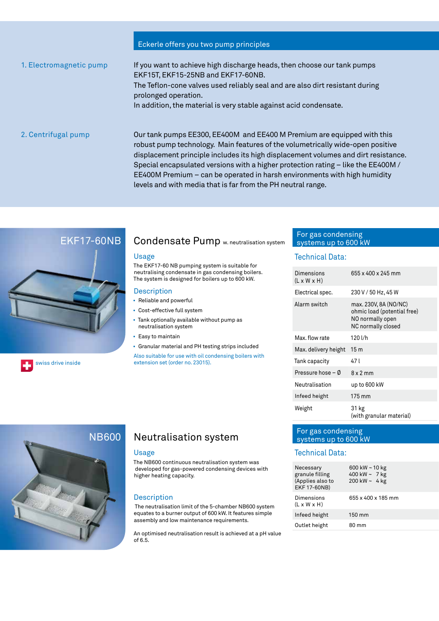## Eckerle offers you two pump principles

1. Electromagnetic pump If you want to achieve high discharge heads, then choose our tank pumps EKF15T, EKF15-25NB and EKF17-60NB. The Teflon-cone valves used reliably seal and are also dirt resistant during prolonged operation. In addition, the material is very stable against acid condensate. 2. Centrifugal pump Our tank pumps EE300, EE400M and EE400 M Premium are equipped with this robust pump technology. Main features of the volumetrically wide-open positive displacement principle includes its high displacement volumes and dirt resistance. Special encapsulated versions with a higher protection rating – like the EE400M / EE400M Premium – can be operated in harsh environments with high humidity

levels and with media that is far from the PH neutral range.



## Condensate Pump w. neutralisation system

#### Usage

The EKF17-60 NB pumping system is suitable for neutralising condensate in gas condensing boilers. The system is designed for boilers up to 600 kW.

### **Description**

- Reliable and powerful
- Cost-effective full system
- Tank optionally available without pump as neutralisation system
- Easy to maintain
- Granular material and PH testing strips included

Also suitable for use with oil condensing boilers with swiss drive inside extension set (order no. 23015).

## For gas condensing systems up to 600 kW

## Technical Data:

| Dimensions<br>$(L \times W \times H)$ | 655 x 400 x 245 mm                                                                             |
|---------------------------------------|------------------------------------------------------------------------------------------------|
| Electrical spec.                      | 230 V / 50 Hz, 45 W                                                                            |
| Alarm switch                          | max. 230V, 8A (NO/NC)<br>ohmic load (potential free)<br>NO normally open<br>NC normally closed |
| Max, flow rate                        | 120 l/h                                                                                        |
| Max. delivery height                  | 15m                                                                                            |
| Tank capacity                         | 47 I                                                                                           |
| Pressure hose – 0                     | $8 \times 2$ mm                                                                                |
| Neutralisation                        | up to 600 kW                                                                                   |
| Infeed height                         | 175 mm                                                                                         |
| Weight                                | 31 kg<br>(with granular material)                                                              |



## Neutralisation system

#### Usage

The NB600 continuous neutralisation system was developed for gas-powered condensing devices with higher heating capacity.

### Description

 The neutralisation limit of the 5-chamber NB600 system equates to a burner output of 600 kW. It features simple assembly and low maintenance requirements.

An optimised neutralisation result is achieved at a pH value of 6.5.

## For gas condensing systems up to 600 kW

### Technical Data:

| Necessary<br>granule filling<br>(Applies also to<br>EKF 17-60NB) | 600 kW $\sim$ 10 kg<br>400 kW $\sim$ 7 kg<br>200 kW ~ 4 kg |
|------------------------------------------------------------------|------------------------------------------------------------|
| Dimensions<br>$(L \times W \times H)$                            | 655 x 400 x 185 mm                                         |
| Infeed height                                                    | 150 mm                                                     |
| Outlet height                                                    | 80 mm                                                      |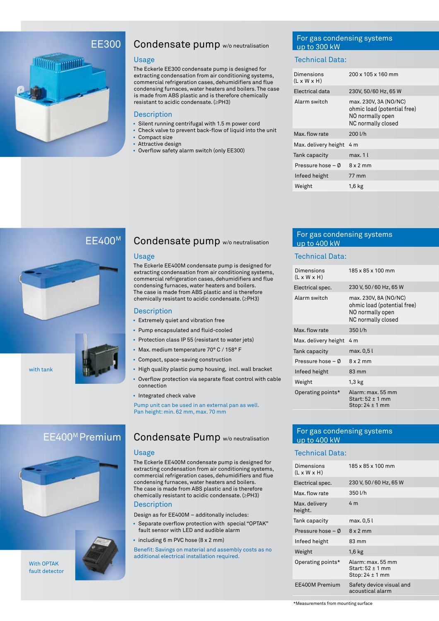## EE300



## Condensate pump w/o neutralisation

#### Usage

The Eckerle EE300 condensate pump is designed for extracting condensation from air conditioning systems, commercial refrigeration cases, dehumidifiers and flue condensing furnaces, water heaters and boilers. The case is made from ABS plastic and is therefore chemically resistant to acidic condensate. (≥PH3)

#### **Description**

- Silent running centrifugal with 1.5 m power cord
- Check valve to prevent back-flow of liquid into the unit
- Compact size
- Attractive design
- Overflow safety alarm switch (only EE300)

## For gas condensing systems up to 300 kW

## Technical Data:

| Dimensions<br>$(L \times W \times H)$ | 200 x 105 x 160 mm                                                                             |
|---------------------------------------|------------------------------------------------------------------------------------------------|
| Electrical data                       | 230V, 50/60 Hz, 65 W                                                                           |
| Alarm switch                          | max. 230V, 3A (NO/NC)<br>ohmic load (potential free)<br>NO normally open<br>NC normally closed |
| Max, flow rate                        | 200 l/h                                                                                        |
| Max. delivery height                  |                                                                                                |
|                                       | 4 m                                                                                            |
| Tank capacity                         | max.11                                                                                         |
| Pressure hose – Ø                     | $8 \times 2$ mm                                                                                |
| Infeed height                         | 77 mm                                                                                          |



## Condensate pump w/o neutralisation

#### Usage

The Eckerle EE400M condensate pump is designed for extracting condensation from air conditioning systems, commercial refrigeration cases, dehumidifiers and flue condensing furnaces, water heaters and boilers. The case is made from ABS plastic and is therefore chemically resistant to acidic condensate. (≥PH3)

## **Description**

- Extremely quiet and vibration free
- Pump encapsulated and fluid-cooled
- Protection class IP 55 (resistant to water jets)
- Max. medium temperature 70° C / 158° F
- Compact, space-saving construction
- High quality plastic pump housing, incl. wall bracket
- Overflow protection via separate float control with cable connection
- Integrated check valve

Pump unit can be used in an external pan as well. Pan height: min. 62 mm, max. 70 mm

## EE400M Premium



## With OPTAK fault detector



## Condensate Pump w/o neutralisation

#### Usage

The Eckerle EE400M condensate pump is designed for extracting condensation from air conditioning systems, commercial refrigeration cases, dehumidifiers and flue condensing furnaces, water heaters and boilers. The case is made from ABS plastic and is therefore chemically resistant to acidic condensate. (≥PH3) **Description** 

Design as for EE400M – additonally includes:

- Separate overflow protection with special "OPTAK" fault sensor with LED and audible alarm
- including 6 m PVC hose (8 x 2 mm)

Benefit: Savings on material and assembly costs as no additional electrical installation required.

## For gas condensing systems up to 400 kW

#### Technical Data:

| Dimensions<br>$(L \times W \times H)$ | 185 x 85 x 100 mm                                                                              |  |
|---------------------------------------|------------------------------------------------------------------------------------------------|--|
| Electrical spec.                      | 230 V, 50 / 60 Hz, 65 W                                                                        |  |
| Alarm switch                          | max. 230V, 8A (NO/NC)<br>ohmic load (potential free)<br>NO normally open<br>NC normally closed |  |
| Max, flow rate                        | 350 l/h                                                                                        |  |
| Max. delivery height                  | 4 m                                                                                            |  |
| Tank capacity                         | max. 0,5 l                                                                                     |  |
| Pressure hose $-$ 0                   | $8 \times 2$ mm                                                                                |  |
| Infeed height                         | 83 mm                                                                                          |  |
| Weight                                | $1,3$ kg                                                                                       |  |
| Operating points*                     | Alarm: max. 55 mm<br>Start: 52 ± 1 mm<br>Stop: 24 ± 1 mm                                       |  |

## For gas condensing systems up to 400 kW

## Technical Data:

| Dimensions<br>$(L \times W \times H)$ | 185 x 85 x 100 mm                                            |
|---------------------------------------|--------------------------------------------------------------|
| Electrical spec.                      | 230 V, 50 / 60 Hz, 65 W                                      |
| Max. flow rate                        | 350 l/h                                                      |
| Max. delivery<br>height.              | 4 m                                                          |
| Tank capacity                         | max. 0,5 l                                                   |
| Pressure hose $-$ 0                   | $8 \times 2$ mm                                              |
| Infeed height                         | 83 mm                                                        |
| Weight                                | $1,6$ kg                                                     |
| Operating points*                     | Alarm: max, 55 mm<br>Start: 52 ± 1 mm<br>Stop: $24 \pm 1$ mm |
| EE400M Premium                        | Safety device visual and<br>acoustical alarm                 |

\*Measurements from mounting surface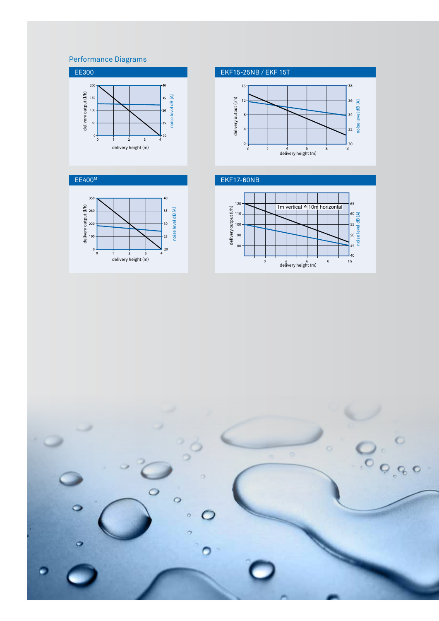## Performance Diagrams